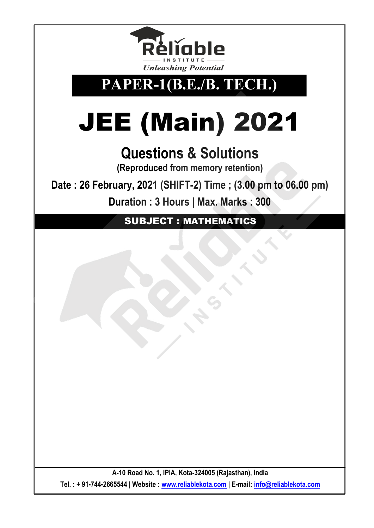

## **PAPER-1(B.E./B. TECH.)**

## JEE (Main) 2021

## **Questions & Solutions**

**(Reproduced from memory retention)**

**Date : 26 February, 2021 (SHIFT-2) Time ; (3.00 pm to 06.00 pm)**

**Duration : 3 Hours | Max. Marks : 300**

SUBJECT : MATHEMATICS

**A-10 Road No. 1, IPIA, Kota-324005 (Rajasthan), India Tel. : + 91-744-2665544 | Website : [www.reliablekota.com](http://www.reliablekota.com/) | E-mail: [info@reliablekota.com](mailto:info@reliablekota.com)**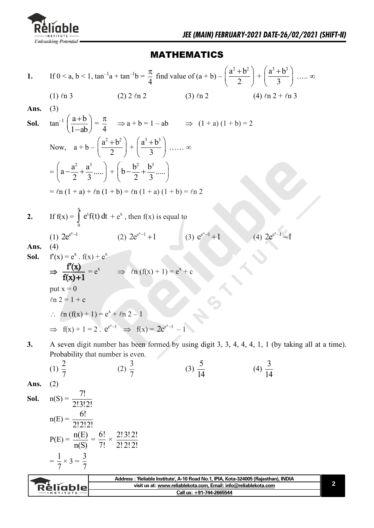

## MATHEMATICS

1. If 
$$
0 < a, b < 1
$$
,  $\tan^{-1}a + \tan^{-1}b = \frac{\pi}{4}$  find value of  $(a + b) - (\frac{a^2 + b^2}{2}) + (\frac{a^3 + b^3}{3}) \dots \infty$   
\n(1)  $\ln 3$  (2) 2  $\ln 2$  (3)  $\ln 2$  (4)  $\ln 2 + \ln 3$   
\nAns. (3)  
\nSoI.  $\tan^{-1}(\frac{a+b}{1-ab}) = \frac{\pi}{4} \Rightarrow a+b=1-ab \Rightarrow (1+a)(1+b)=2$   
\nNow,  $a+b = (\frac{a^2 + b^2}{2}) + (\frac{a^3 + b^3}{3}) \dots \infty$   
\n $= (a-\frac{a^2}{2} + \frac{a^3}{3} \dots) + (b-\frac{b^2}{2} + \frac{b^3}{3} \dots)$   
\n $= \ln (1+a) + \ln (1+b) = \ln (1+a) + (1+b) = \ln 2$   
\n2. If  $f(x) = \int_0^x e^t f(t) dt + e^x$ , then  $f(x)$  is equal to  
\n(1)  $2e^{e^{x-1}}$  (2)  $2e^{e^x-1} + 1$  (3)  $e^{e^x-1} + 1$  (4)  $2e^{e^x-1} - 1$   
\nAns. (4)  
\nSoI.  $f'(x) = e^x$ ,  $f(x) + e^x$   
\n $\Rightarrow \frac{f(x)}{f(x)+1} = e^x \Rightarrow \ln (f(x) + 1) = e^x + e$   
\nput  $x = 0$   
\n $\ln 2 = 1 + e$   
\n $\therefore \ln ((f(x) + 1) = e^x + (n2 - 1)$   
\n $\Rightarrow f(x) + 1 = 2$ .  $e^{e^x-1} \Rightarrow f(x) = 2e^{e^x-1} - 1$   
\n3. A seven digit number has been formed by using digit 3, 3, 4, 4, 4, 1, 1 (by taking all at a time).  
\nProbability that number is even.  
\n(1)  $\frac{2}{7}$  (2)  $\frac{3}{7}$  (3)  $\frac{5}{14}$  (

7 7**Address : 'Reliable Institute', A-10 Road No.1, IPIA, Kota-324005 (Rajasthan), INDIA** Religble **2 visit us at[: www.reliablekota.com,](http://www.reliablekota.com/) Email: info@reliablekota.com Call us: +91-744-2665544**

n(S)

 $\times$  3 =  $\frac{3}{7}$ 

 $=\frac{1}{7}$ 

7!

2!2!2!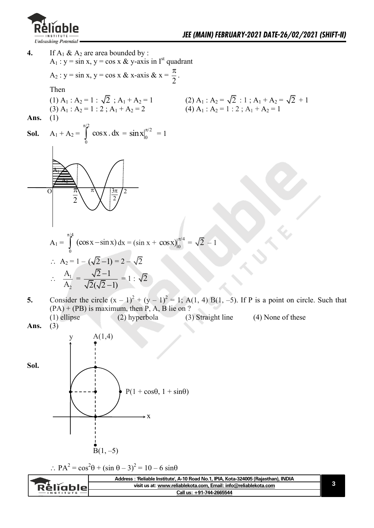



 $(PA) + (PB)$  is maximum, then P, A, B lie on ?

 (1) ellipse (2) hyperbola (3) Straight line (4) None of these **Ans.** (3)



 $\therefore PA^2 = \cos^2\theta + (\sin \theta - 3)^2 = 10 - 6 \sin\theta$ 

| : : 'Reliable Institute', A-10 Road No.1, IPIA, Kota-324005 (Rajasthan), INDIA     |  |
|------------------------------------------------------------------------------------|--|
| visit us at: www.reliablekota.com, Email: info@reliablekota.com<br><b>Réliable</b> |  |
| Call us: +91-744-2665544<br><b>INSTITUTE</b>                                       |  |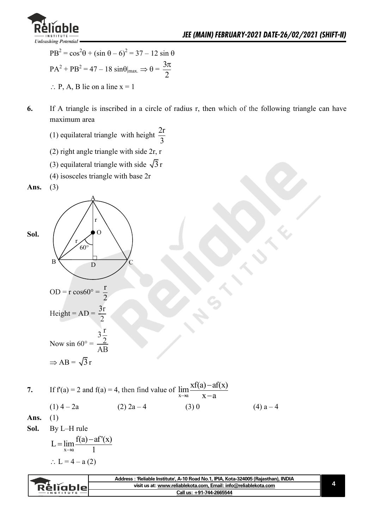

 $PB^{2} = \cos^{2}\theta + (\sin \theta - \theta)^{2} = 37 - 12 \sin \theta$  $PA^2 + PB^2 = 47 - 18 \sin\theta|_{\text{max.}} \Rightarrow \theta =$ 3 2  $\pi$  $\therefore$  P, A, B lie on a line  $x = 1$ 

- **6.** If A triangle is inscribed in a circle of radius r, then which of the following triangle can have maximum area
- (1) equilateral triangle with height  $\frac{2r}{2}$ 3
	- (2) right angle triangle with side 2r, r
- (3) equilateral triangle with side  $\sqrt{3}$  r

 $\overline{C}$ 

(4) isosceles triangle with base 2r

**Ans.** (3)



|            |              |              | 7. If $f'(a) = 2$ and $f'(a) = 4$ , then find value of $\lim \frac{x f(a) - af(x)}{g(a)}$<br>$x \rightarrow a$ $X - a$ |             |
|------------|--------------|--------------|------------------------------------------------------------------------------------------------------------------------|-------------|
|            | $(1)$ 4 – 2a | $(2)$ 2a – 4 | (3)0                                                                                                                   | $(4) a - 4$ |
| Ans. $(1)$ |              |              |                                                                                                                        |             |

**Sol.** By L–H rule

L = 
$$
\lim_{x \to a} \frac{f(a) - af'(x)}{1}
$$
  
∴ L = 4 - a (2)

|          | Address: 'Reliable Institute', A-10 Road No.1, IPIA, Kota-324005 (Rajasthan), INDIA |  |
|----------|-------------------------------------------------------------------------------------|--|
| Réliable | visit us at: www.reliablekota.com, Email: info@reliablekota.com                     |  |
|          | Call us: +91-744-2665544                                                            |  |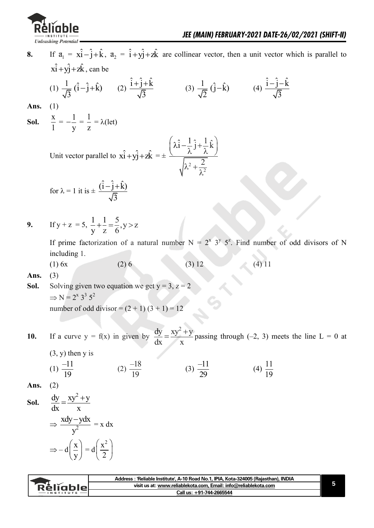

**8.** If  $a_1 = x\hat{i} - \hat{j} + \hat{k}$ ,  $a_2 = \hat{i} + y\hat{j} + z\hat{k}$  are collinear vector, then a unit vector which is parallel to  $x\hat{i} + y\hat{j} + z\hat{k}$ , can be

(1) 
$$
\frac{1}{\sqrt{3}} (\hat{i} - \hat{j} + \hat{k})
$$
 (2)  $\frac{\hat{i} + \hat{j} + \hat{k}}{\sqrt{3}}$  (3)  $\frac{1}{\sqrt{2}} (\hat{j} - \hat{k})$  (4)  $\frac{\hat{i} - \hat{j} - \hat{k}}{\sqrt{3}}$ 

**Ans.** (1)

Sol.  $\frac{X}{1}$ 1  $=-\frac{1}{2}$ y  $\frac{1}{-1} = \frac{1}{-1}$ z  $= \lambda(\text{let})$ 

Unit vector parallel to 
$$
\hat{\mathbf{x}i} + \hat{\mathbf{y}j} + \hat{\mathbf{z}k} = \pm \frac{\left(\hat{\lambda}i - \frac{1}{\lambda}\hat{\mathbf{j}} + \frac{1}{\lambda}\hat{\mathbf{k}}\right)}{\sqrt{\lambda^2 + \frac{2}{\lambda^2}}}
$$

for 
$$
\lambda = 1
$$
 it is  $\pm \frac{(\hat{i} - \hat{j} + \hat{k})}{\sqrt{3}}$ 

9. If 
$$
y + z = 5
$$
,  $\frac{1}{y} + \frac{1}{z} = \frac{5}{6}$ ,  $y > z$ 

If prime factorization of a natural number  $N = 2^x 3^y 5^z$ . Find number of odd divisors of N including 1.

(1) 6x (2) 6 (3) 12 (4) 11

**Ans.** (3)

**Sol.** Solving given two equation we get  $y = 3$ ,  $z = 2$  $\Rightarrow$  N = 2<sup>x</sup> 3<sup>3</sup> 5<sup>2</sup> number of odd divisor =  $(2 + 1) (3 + 1) = 12$ 

**10.** If a curve  $y = f(x)$  in given by  $dy$   $xy^2 + y$ dx x  $=\frac{xy^2+y}{x^2}$  passing through (-2, 3) meets the line L = 0 at

 $(3, y)$  then y is

(1) 
$$
\frac{-11}{19}
$$
 (2)  $\frac{-18}{19}$  (3)  $\frac{-11}{29}$  (4)  $\frac{11}{19}$ 

**Ans.** (2)

**Sol.**  $dy$   $xy^2 + y$ dx x  $=\frac{xy^2+}{x^2+}$  $\Rightarrow \frac{\Delta dy}{v^2}$  $xdy - ydx$ y  $\frac{-ydx}{2} = x dx$  $\Rightarrow -d\left(\frac{x}{x}\right)$  $\left(\frac{x}{y}\right)$  $= d$  $x^2$  $\left(\frac{x^2}{2}\right)$ 

|               | Address: 'Reliable Institute', A-10 Road No.1, IPIA, Kota-324005 (Rajasthan), INDIA |  |
|---------------|-------------------------------------------------------------------------------------|--|
| Réliablel     | visit us at: www.reliablekota.com, Email: info@reliablekota.com                     |  |
| $-$ INSTITUTE | Call us: +91-744-2665544                                                            |  |
|               |                                                                                     |  |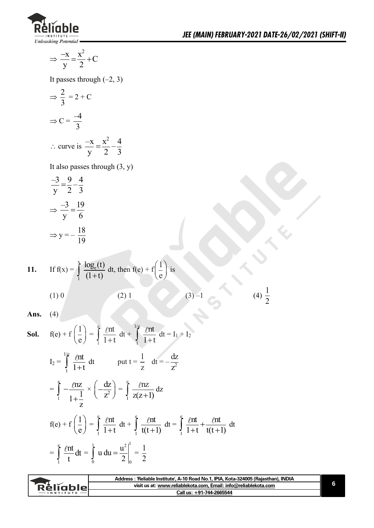

$$
\Rightarrow \frac{-x}{y} = \frac{x^2}{2} + C
$$

It passes through  $(-2, 3)$ 

$$
\Rightarrow \frac{2}{3} = 2 + C
$$
  
\n
$$
\Rightarrow C = \frac{-4}{3}
$$
  
\n
$$
\therefore \text{ curve is } \frac{-x}{y} = \frac{x^2}{2} - \frac{4}{3}
$$

It also passes through (3, y)

$$
\frac{-3}{y} = \frac{9}{2} - \frac{4}{3}
$$

$$
\Rightarrow \frac{-3}{y} = \frac{19}{6}
$$

$$
\Rightarrow y = -\frac{18}{19}
$$

11. If 
$$
f(x) = \int_{1}^{x} \frac{\log_e(t)}{(1+t)} dt
$$
, then  $f(e) + f\left(\frac{1}{e}\right)$  is  
\n(1) 0\n(2) 1\n(3) -1\n(4)  $\frac{1}{2}$ 

**Ans.** (4)

**Sol.** 
$$
f(e) + f\left(\frac{1}{e}\right) = \int_{1}^{e} \frac{\ln t}{1+t} dt + \int_{1}^{1/e} \frac{\ln t}{1+t} dt = I_{1} + I_{2}
$$
  
\n
$$
I_{2} = \int_{1}^{1/e} \frac{\ln t}{1+t} dt \qquad \text{put } t = \frac{1}{z} \quad dt = -\frac{dz}{z^{2}}
$$
\n
$$
= \int_{1}^{e} -\frac{\ln z}{1+\frac{1}{z}} \times \left(-\frac{dz}{z^{2}}\right) = \int_{1}^{e} \frac{\ln z}{z(z+1)} dz
$$
\n
$$
f(e) + f\left(\frac{1}{e}\right) = \int_{1}^{e} \frac{\ln t}{1+t} dt + \int_{1}^{e} \frac{\ln t}{t(t+1)} dt = \int_{1}^{e} \frac{\ln t}{1+t} + \frac{\ln t}{t(t+1)} dt
$$
\n
$$
= \int_{1}^{e} \frac{\ln t}{t} dt = \int_{0}^{1} u du = \frac{u^{2}}{2} \Big|_{0}^{1} = \frac{1}{2}
$$

| <b>Réligble</b><br>visit us at: www.reliablekota.com. Email: info@reliablekota.com<br>Call us: +91-744-2665544<br>$-$ INSTITUTE | Address: 'Reliable Institute', A-10 Road No.1, IPIA, Kota-324005 (Rajasthan), INDIA |  |
|---------------------------------------------------------------------------------------------------------------------------------|-------------------------------------------------------------------------------------|--|
|                                                                                                                                 |                                                                                     |  |
|                                                                                                                                 |                                                                                     |  |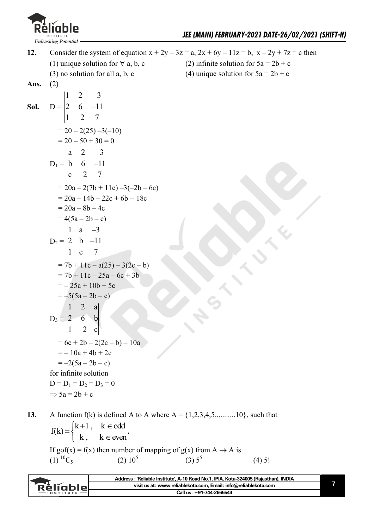

**12.** Consider the system of equation  $x + 2y - 3z = a$ ,  $2x + 6y - 11z = b$ ,  $x - 2y + 7z = c$  then (1) unique solution for  $\forall$  a, b, c (2) infinite solution for  $5a = 2b + c$ (3) no solution for all a, b, c (4) unique solution for  $5a = 2b + c$ **Ans.** (2) Sol.  $D =$  $1 \t2 \t-3$ 2 6 –11  $1 -2 7$  $= 20 - 2(25) - 3(-10)$  $= 20 - 50 + 30 = 0$  $D_1 =$ a 2  $-3$ b 6  $-11$ c  $-2$  7  $= 20a - 2(7b + 11c) - 3(-2b - 6c)$  $= 20a - 14b - 22c + 6b + 18c$  $= 20a - 8b - 4c$  $= 4(5a - 2b - c)$  $D_2 = \begin{vmatrix} 2 & b & -11 \end{vmatrix}$  $\begin{vmatrix} 1 & a & -3 \end{vmatrix}$ 1 c 7  $= 7b + 11c - a(25) - 3(2c - b)$  $= 7b + 11c - 25a - 6c + 3b$  $=-25a+10b+5c$  $=-5(5a-2b-c)$  $D_3 = |2 \t 6 \t b$  $\begin{vmatrix} 1 & 2 & a \end{vmatrix}$  $1 -2 c$  $= 6c + 2b - 2(2c - b) - 10a$  $=-10a + 4b + 2c$  $=-2(5a-2b-c)$  for infinite solution  $D = D_1 = D_2 = D_3 = 0$  $\Rightarrow$  5a = 2b + c

**13.** A function  $f(k)$  is defined A to A where  $A = \{1,2,3,4,5,\ldots,10\}$ , such that  $f(k) = \begin{cases} k+1, & k \in odd \\ 1, & k \end{cases}$ k,  $k \in \text{even}$  $\int k+1$ ,  $k \in \text{od}$  $=\}$  $k, k \in$ **.**  If gof(x) = f(x) then number of mapping of  $g(x)$  from A  $\rightarrow$  A is (1)  ${}^{10}C_5$  (2)  $10^5$  $(3)$  5<sup>5</sup> (4) 5!

|               | Address: 'Reliable Institute', A-10 Road No.1, IPIA, Kota-324005 (Rajasthan), INDIA |  |
|---------------|-------------------------------------------------------------------------------------|--|
| Réliablel     | visit us at: www.reliablekota.com, Email: info@reliablekota.com                     |  |
| $-$ INSTITUTE | Call us: +91-744-2665544                                                            |  |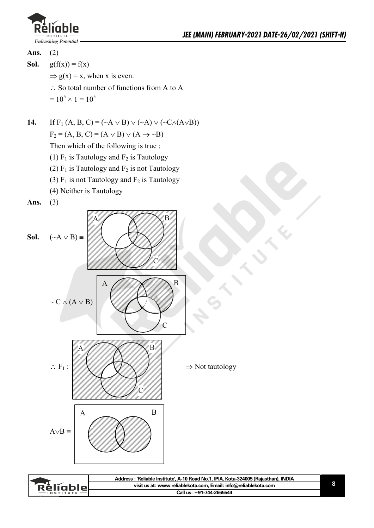



- **Sol.**  $g(f(x)) = f(x)$ 
	- $\Rightarrow$  g(x) = x, when x is even.
	- $\therefore$  So total number of functions from A to A
- $= 10^5 \times 1 = 10^5$

**14.** If  $F_1(A, B, C) = (\sim A \vee B) \vee (\sim A) \vee (\sim C \wedge (A \vee B))$ 

 $F_2 = (A, B, C) = (A \vee B) \vee (A \rightarrow \sim B)$ 

Then which of the following is true :

- (1)  $F_1$  is Tautology and  $F_2$  is Tautology
- (2)  $F_1$  is Tautology and  $F_2$  is not Tautology
- (3)  $F_1$  is not Tautology and  $F_2$  is Tautology
- (4) Neither is Tautology

**Ans.** (3)



|               | Address: 'Reliable Institute', A-10 Road No.1, IPIA, Kota-324005 (Rajasthan), INDIA |  |
|---------------|-------------------------------------------------------------------------------------|--|
| Réliablel     | visit us at: www.reliablekota.com, Email: info@reliablekota.com                     |  |
| $-$ INSTITUTE | Call us: +91-744-2665544                                                            |  |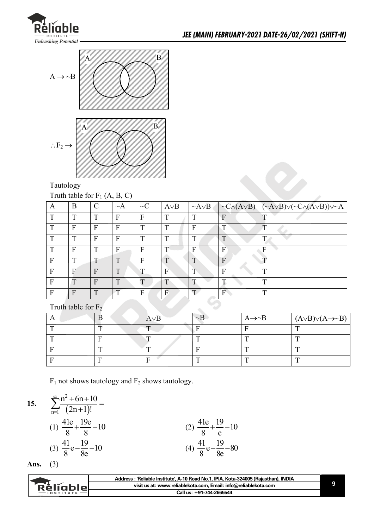



Tautology

Truth table for  $F_1$  (A, B, C)

| А            | B            | $\mathcal{C}$ | $\sim$ A     | $\sim C$     | $A \vee B$   | $\sim$ A $\vee$ B |   | $ \neg C \land (A \lor B)  (\neg A \lor B) \lor (\neg C \land (A \lor B)) \lor \neg A$ |
|--------------|--------------|---------------|--------------|--------------|--------------|-------------------|---|----------------------------------------------------------------------------------------|
| $\mathbf{T}$ | ட            | $\mathbf T$   | F            | F            | $\mathbf{T}$ | ௱                 | F |                                                                                        |
| ௱            | F            | F             | F            | $\mathbf{T}$ | $\mathbf{T}$ | F                 |   | $\mathbf{T}$                                                                           |
| ௱            | ட            | F             | F            | $\mathbf{T}$ | $\mathbf{T}$ | ᠇                 |   |                                                                                        |
| ட            | F            | T             | F            | F            |              |                   | F | Е                                                                                      |
| F            | $\mathbf{T}$ | т             | T            | F            | T            |                   | F |                                                                                        |
| F            | F            | F             | ா            |              | F            |                   |   | т                                                                                      |
| F            | $\mathbf T$  | F             | T            |              |              |                   |   | т                                                                                      |
| F            | F            | $\mathbf{T}$  | $\mathbf{T}$ | F            | F            | $\mathbf{T}$      | F | ௱                                                                                      |

Truth table for F<sub>2</sub>

|            | $A \vee B$               | $\sim$ B | $A \rightarrow B$ | $(A \vee B) \vee (A \rightarrow B)$ |
|------------|--------------------------|----------|-------------------|-------------------------------------|
| $\sqrt{2}$ | $\overline{\phantom{a}}$ |          |                   | $\mathbf{r}$                        |
|            |                          |          |                   |                                     |
|            |                          |          |                   |                                     |
|            |                          |          |                   |                                     |

 $F_1$  not shows tautology and  $F_2$  shows tautology.

15. 
$$
\sum_{n=1}^{\infty} \frac{n^2 + 6n + 10}{(2n+1)!} =
$$
  
\n(1)  $\frac{41e}{8} + \frac{19e}{8} - 10$   
\n(2)  $\frac{41e}{8} + \frac{19e}{e} - 10$   
\n(3)  $\frac{41}{8}e - \frac{19}{8e} - 10$   
\n(4)  $\frac{41}{8}e - \frac{19}{8e} - 80$ 

**Ans.** (3)

|                  | : 'Reliable Institute', A-10 Road No.1, IPIA, Kota-324005 (Rajasthan), INDIA<br>Address |  |
|------------------|-----------------------------------------------------------------------------------------|--|
| <u>RěliableL</u> | visit us at: www.reliablekota.com, Email: info@reliablekota.com                         |  |
|                  | Call us: +91-744-2665544                                                                |  |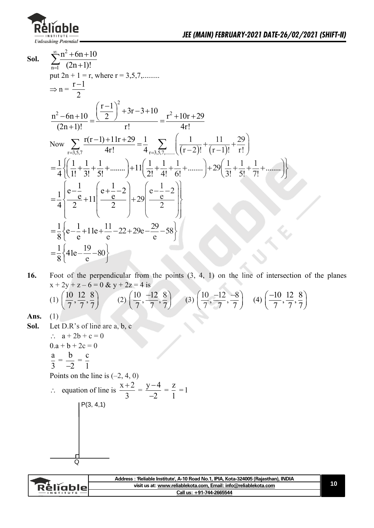

**Sol.** 2  $n=1$  $n^2 + 6n + 10$  $(2n+1)!$  $\infty$  $\sum_{n=1}^{\infty} \frac{n^2 + 6n + 10}{(2n+1)!}$ put  $2n + 1 = r$ , where  $r = 3,5,7,...$  $\Rightarrow$  n =  $\frac{r-1}{2}$ 2  $\overline{a}$  $x^2-6n+10 \left(\frac{r-1}{2}\right)^2+3r-3+10 r^2$  $\Rightarrow n = \frac{1}{2}$  $\frac{n^2 - 6n + 10}{2} = \frac{\left(\frac{r-1}{2}\right)^2 + 3r - 3 + 10}{2} = \frac{r^2 + 10r + 29}{2}$  $\frac{r^2 - 6n + 10}{(2n + 1)!} = \frac{\left(\frac{1-1}{2}\right) + 3r - 3 + 10}{r!} = \frac{r^2 + 10r}{4r!}$  $\left(\frac{r-1}{2}\right)^2 + 3r - 3 + 10r - r^2$  $\frac{(-6n+10)}{2n+1)!} = \frac{\left(\frac{r-1}{2}\right)^2 + 3r - 3 + 10}{r!} = \frac{r^2 + 10r + 29}{4r!}$ Now  $\sum_{r=3,5,7} \frac{r(r-1)+11r+29}{4r!} = \frac{1}{4} \sum_{r=3,5,7,\dots} \left( \frac{1}{(r-2)!} + \frac{11}{(r-1)} \right)$  $\frac{0}{r!} = \frac{1}{2}$   $\frac{1}{r!} = \frac{1}{4r!}$ <br> $\frac{r(r-1)+11r+29}{4r!} = \frac{1}{4}$   $\sum \left( \frac{1}{(r-2)!} + \frac{11}{(r-1)!} + \frac{29}{r!} \right)$ +1)!  $r!$  4r!  $\sum_{r=3,5,7} \frac{r(r-1)+11r+29}{4r!} = \frac{1}{4} \sum_{r=3,5,7,\dots} \left( \frac{1}{(r-2)!} + \frac{11}{(r-1)!} + \frac{29}{r!} + \frac{11}{r!} + \frac{29}{r!} + \frac{11}{r!} + \frac{29}{r!} + \frac{11}{r!} + \frac{29}{r!} + \frac{11}{r!} + \frac{29}{r!} + \frac{11}{r!} + \frac{29}{r!} + \frac{11}{r!} + \frac{29}{r$  $\frac{(2)^{151-51-51+10} \text{ m} = \frac{r^2+10r+29}{4r!}$ <br>-1)+11r+29 =  $\frac{1}{4}$   $\sum_{r=1}^{\infty} \left( \frac{1}{(r-2)^2} + \frac{11}{(r-1)^2} + \frac{29}{r^2} \right)$  $\frac{1}{2}$  -6n + 10 =  $\frac{\left(\frac{1}{2}\right) + 3r - 3 + 10}{r!}$  =  $\frac{r^2 + 10r + 29}{4r!}$ <br>  $\frac{1}{4}$   $\left(\frac{1}{1!} + \frac{1}{3!} + \frac{1}{5!} + \dots\right) + 11\left(\frac{1}{2!} + \frac{1}{4!} + \frac{1}{6!} + \dots\right) + 29\left(\frac{1}{3!} + \frac{1}{5!} + \frac{1}{7!} + \dots\right)$ Now  $\sum_{r=3,5,7} \frac{r(r-1)+11r+29}{4r!} = \frac{1}{4} \sum_{r=3,5,7,...} \left( \frac{1}{(r-2)!} + \frac{11}{(r-1)!} + \frac{29}{r!} \right)$ <br>=  $\frac{1}{4} \left\{ \left( \frac{1}{1!} + \frac{1}{3!} + \frac{1}{5!} + \dots \right) + 11 \left( \frac{1}{2!} + \frac{1}{4!} + \frac{1}{6!} + \dots \right) + 29 \left( \frac{1}{3!} + \frac{1}{5!} + \frac{1}{7!} + \dots$  $\frac{1}{4}$   $\left( \frac{\overline{1!}}{1!} + \frac{\overline{3!}}{3!} + \frac{\overline{5!}}{5!} + \cdots \right) + \frac{1}{2}$   $\left( \frac{\overline{2!}}{2!} + \frac{\overline{4!}}{4!} + \cdots \right)$  $\frac{1}{4}$  $\left| \frac{e^{-\frac{1}{e}}}{2} + 11 \right| \frac{e^{+\frac{1}{e}-2}}{2} + 29 \frac{e^{-\frac{1}{e}}}{2}$  $\left[\left(\frac{1}{1!}+\frac{1}{3!}+\frac{1}{5!}+\dots\right)+11\left(\frac{1}{2!}+\frac{1}{4!}+\frac{1}{6!}+\dots\right)\right]$ <br> $\left[e-\frac{1}{e}+11\right]\frac{e+1}{e-1}+20\frac{e-1}{e-1}$  $=\frac{1}{4}\left\{\frac{e-\frac{1}{e}}{2}+11\left(\frac{e+\frac{1}{e}-2}{2}\right)+29\left(\frac{e-\frac{1}{e}-2}{2}\right)\right\}$  $\frac{1}{8} \left\{ e - \frac{1}{e} + 11e + \frac{11}{e} - 22 + 29e - \frac{29}{e} - 58 \right\}$  $=\frac{1}{8}\left\{e-\frac{1}{e}+11e+\frac{11}{e}-22+29e-\frac{29}{e}-58\right\}$  $\frac{1}{8}$  41e –  $\frac{19}{8}$  – 80  $\frac{1}{8}$ <sup>41e--</sup>e  $=\frac{1}{8}\left\{41e-\frac{19}{e}-80\right\}$ 

**16.** Foot of the perpendicular from the points (3, 4, 1) on the line of intersection of the planes  $x + 2y + z - 6 = 0$  &  $y + 2z = 4$  is

(1) 
$$
\left(\frac{10}{7}, \frac{12}{7}, \frac{8}{7}\right)
$$
 (2)  $\left(\frac{10}{7}, \frac{-12}{7}, \frac{8}{7}\right)$  (3)  $\left(\frac{10}{7}, \frac{-12}{7}, \frac{-8}{7}\right)$  (4)  $\left(\frac{-10}{7}, \frac{12}{7}, \frac{8}{7}\right)$ 

Ans.

**Sol.** Let D.R's of line are a, b, c

$$
\therefore a + 2b + c = 0
$$
  
0.a + b + 2c = 0  

$$
\frac{a}{3} = \frac{b}{-2} = \frac{c}{1}
$$

 $\Omega$ 

Points on the line is  $(-2, 4, 0)$ 

P(3, 4,1)

$$
\therefore \quad \text{equation of line is } \frac{x+2}{3} = \frac{y-4}{-2} = \frac{z}{1} = 1
$$

|                   | Address : 'Reliable Institute', A-10 Road No.1, IPIA, Kota-324005 (Rajasthan), INDIA |
|-------------------|--------------------------------------------------------------------------------------|
| <b>RèlĭableL</b>  | visit us at: www.reliablekota.com, Email: info@reliablekota.com                      |
| $-$ INSTITUTE $-$ | Call us: +91-744-2665544                                                             |
|                   |                                                                                      |

**10**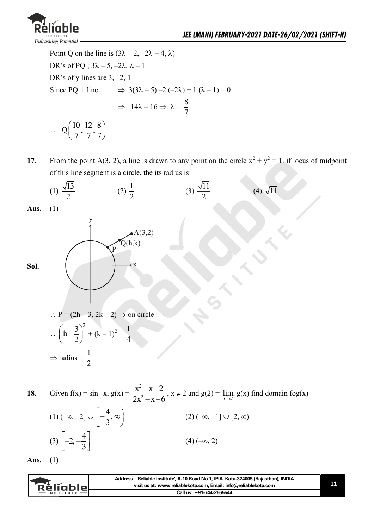

 $(3)$   $\begin{array}{c} -2, -\frac{4}{3} \end{array}$ 

3  $\left[-2, -\frac{4}{3}\right]$ 

Point Q on the line is  $(3\lambda - 2, -2\lambda + 4, \lambda)$ DR's of PQ ;  $3\lambda - 5$ ,  $-2\lambda$ ,  $\lambda - 1$ DR's of y lines are 3, –2, 1 Since PQ  $\perp$  line  $\implies$  3(3 $\lambda$  – 5) –2 (–2 $\lambda$ ) + 1 ( $\lambda$  – 1) = 0  $\Rightarrow$  14 $\lambda - 16 \Rightarrow \lambda = \frac{8}{7}$ 7  $\therefore$  Q  $\left(\frac{10}{7}, \frac{12}{7}, \frac{8}{7}\right)$  $\left(\frac{10}{7}, \frac{12}{7}, \frac{8}{7}\right)$ 

**17.** From the point A(3, 2), a line is drawn to any point on the circle  $x^2 + y^2 = 1$ . if locus of midpoint of this line segment is a circle, the its radius is



 $(4) (-\infty, 2)$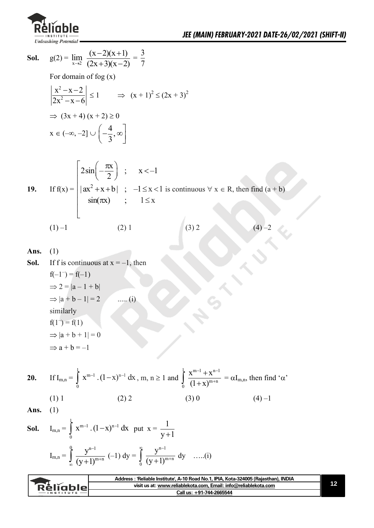

**Sol.** 
$$
g(2) = \lim_{x \to 2} \frac{(x-2)(x+1)}{(2x+3)(x-2)} = \frac{3}{7}
$$

For domain of fog (x)

$$
\left|\frac{x^2 - x - 2}{2x^2 - x - 6}\right| \le 1 \qquad \Rightarrow \ (x + 1)^2 \le (2x + 3)^2
$$

$$
\Rightarrow (3x + 4)(x + 2) \ge 0
$$

$$
x \in (-\infty, -2] \cup \left(-\frac{4}{3}, \infty\right)
$$

19. If 
$$
f(x) = \begin{bmatrix} 2\sin(-\frac{\pi x}{2}) & ; & x < -1 \\ |ax^2 + x + b| & ; & -1 \le x < 1 \text{ is continuous } \forall x \in R, \text{ then find } (a + b) \\ \sin(\pi x) & ; & 1 \le x \end{bmatrix}
$$
  
\n(1) -1 (2) 1 (3) 2 (4) -2

Ans. 
$$
(1)
$$

**Sol.** If f is continuous at  $x = -1$ , then  $f(-1^-) = f(-1)$  $\Rightarrow$  2 = |a – 1 + b|  $\Rightarrow |a + b - 1| = 2$  ..... (i) similarly  $f(1^-) = f(1)$  $\Rightarrow$   $|a + b + 1| = 0$  $\Rightarrow$  a + b = -1

**20.** If 
$$
I_{m,n} = \int_{0}^{1} x^{m-1} (1-x)^{n-1} dx
$$
,  $m, n \ge 1$  and  $\int_{0}^{1} \frac{x^{m-1} + x^{n-1}}{(1+x)^{m+n}} = \alpha I_{m,n}$ , then find 'α'

$$
(1) 1 \t(2) 2 \t(3) 0 \t(4) -1
$$

$$
Ans. (1)
$$

**Sol.** 
$$
I_{m,n} = \int_0^1 x^{m-1} \cdot (1-x)^{n-1} dx
$$
 put  $x = \frac{1}{y+1}$   
 $I_{m,n} = \int_{\infty}^0 \frac{y^{n-1}}{(y+1)^{m+n}} (-1) dy = \int_0^{\infty} \frac{y^{n-1}}{(y+1)^{m+n}} dy$  ....(i)

| visit us at: www.reliablekota.com. Email: info@reliablekota.com<br>RèliableL |
|------------------------------------------------------------------------------|
|                                                                              |
| Call us: +91-744-2665544                                                     |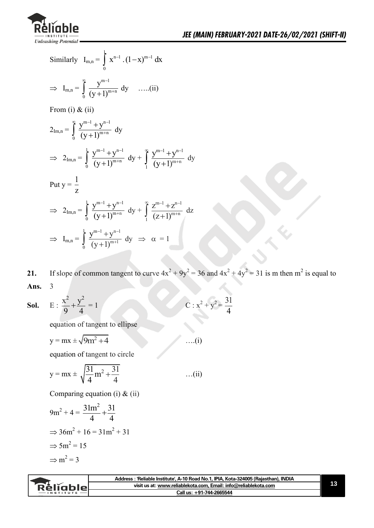

Similarly 
$$
I_{m,n} = \int_{0}^{1} x^{n-1} \cdot (1-x)^{m-1} dx
$$
  
\n $\Rightarrow I_{m,n} = \int_{0}^{\infty} \frac{y^{m-1}}{(y+1)^{m+n}} dy$  ......(ii)  
\nFrom (i) & (ii)  
\n $2_{Im,n} = \int_{0}^{\infty} \frac{y^{m-1} + y^{n-1}}{(y+1)^{m+n}} dy$   
\n $\Rightarrow 2_{Im,n} = \int_{0}^{1} \frac{y^{m-1} + y^{n-1}}{(y+1)^{m+n}} dy + \int_{1}^{\infty} \frac{y^{m-1} + y^{n-1}}{(y+1)^{m+n}} dy$   
\nPut  $y = \frac{1}{z}$   
\n $\Rightarrow 2_{Im,n} = \int_{0}^{1} \frac{y^{m-1} + y^{n-1}}{(y+1)^{m+n}} dy + \int_{1}^{\infty} \frac{z^{m-1} + z^{n-1}}{(z+1)^{m+n}} dz$   
\n $\Rightarrow I_{m,n} = \int_{0}^{1} \frac{y^{m-1} + y^{n-1}}{(y+1)^{m+1}} dy \Rightarrow \alpha = 1$ 

**21.** If slope of common tangent to curve  $4x^2 + 9y^2 = 36$  and  $4x^2 + 4y^2 = 31$  is m then m<sup>2</sup> is equal to **Ans.** 3

4

**Sol.** E: 
$$
\frac{x^2}{9} + \frac{y^2}{4} = 1
$$
 C:  $x^2 + y^2 = \frac{31}{4}$ 

equation of tangent to ellipse

$$
y = mx \pm \sqrt{9m^2 + 4}
$$
 ... (i)

equation of tangent to circle

$$
y = mx \pm \sqrt{\frac{31}{4}m^2 + \frac{31}{4}}
$$
 ...(ii)

Comparing equation (i) & (ii)

$$
9m2 + 4 = \frac{31m2}{4} + \frac{31}{4}
$$

$$
\Rightarrow 36m2 + 16 = 31m2 + 31
$$

$$
\Rightarrow 5m2 = 15
$$

$$
\Rightarrow m2 = 3
$$

|          | Address: 'Reliable Institute', A-10 Road No.1, IPIA, Kota-324005 (Rajasthan), INDIA |  |
|----------|-------------------------------------------------------------------------------------|--|
| Rèliable | visit us at: www.reliablekota.com, Email: info@reliablekota.com                     |  |
|          | Call us: +91-744-2665544                                                            |  |
|          |                                                                                     |  |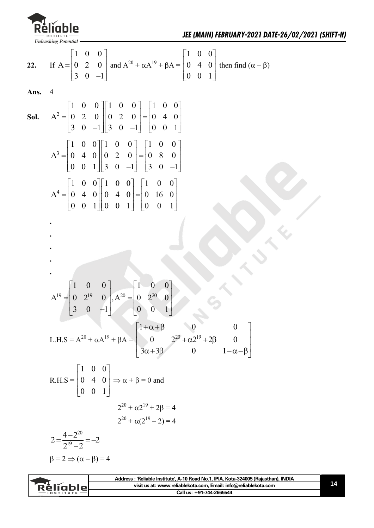

22. If A = 
$$
\begin{bmatrix} 1 & 0 & 0 \ 0 & 2 & 0 \ 3 & 0 & -1 \end{bmatrix}
$$
 and A<sup>20</sup> +  $\alpha A^{19}$  +  $\beta A$  =  $\begin{bmatrix} 1 & 0 & 0 \ 0 & 4 & 0 \ 0 & 0 & 1 \end{bmatrix}$  then find  $(\alpha - \beta)$   
\nAns. 4  
\nSoI.  $A^2 = \begin{bmatrix} 1 & 0 & 0 \ 0 & 2 & 0 \ 3 & 0 & -1 \end{bmatrix} \begin{bmatrix} 1 & 0 & 0 \ 0 & 2 & 0 \ 3 & 0 & -1 \end{bmatrix} = \begin{bmatrix} 1 & 0 & 0 \ 0 & 4 & 0 \ 0 & 0 & 1 \end{bmatrix}$   
\n $A^3 = \begin{bmatrix} 1 & 0 & 0 \ 0 & 4 & 0 \ 0 & 0 & 1 \end{bmatrix} \begin{bmatrix} 1 & 0 & 0 \ 0 & 2 & 0 \ 3 & 0 & -1 \end{bmatrix} = \begin{bmatrix} 1 & 0 & 0 \ 0 & 8 & 0 \ 3 & 0 & -1 \end{bmatrix}$   
\n $A^4 = \begin{bmatrix} 1 & 0 & 0 \ 0 & 4 & 0 \ 0 & 0 & 1 \end{bmatrix} \begin{bmatrix} 1 & 0 & 0 \ 0 & 4 & 0 \ 0 & 0 & 1 \end{bmatrix} = \begin{bmatrix} 1 & 0 & 0 \ 0 & 16 & 0 \ 0 & 0 & 1 \end{bmatrix}$   
\n $A^{19} = \begin{bmatrix} 1 & 0 & 0 \ 0 & 2^{19} & 0 \ 3 & 0 & -1 \end{bmatrix}$ ,  $A^{20} = \begin{bmatrix} 1 & 0 & 0 \ 0 & 2^{20} & 0 \ 0 & 0 & 1 \end{bmatrix}$ 

L.H.S = 
$$
A^{20} + \alpha A^{19} + \beta A =
$$

$$
\begin{bmatrix} 1 + \alpha + \beta & 0 & 0 \\ 0 & 2^{20} + \alpha 2^{19} + 2\beta & 0 \\ 3\alpha + 3\beta & 0 & 1 - \alpha - \beta \end{bmatrix}
$$

$$
R.H.S = \begin{bmatrix} 1 & 0 & 0 \\ 0 & 4 & 0 \\ 0 & 0 & 1 \end{bmatrix} \Rightarrow \alpha + \beta = 0 \text{ and}
$$

$$
2^{20} + \alpha 2^{19} + 2\beta = 4
$$

$$
2^{20} + \alpha(2^{19} - 2) = 4
$$

$$
2 = \frac{4 - 2^{20}}{2^{19} - 2} = -2
$$

$$
\beta = 2 \Rightarrow (\alpha - \beta) = 4
$$

|               | Address: 'Reliable Institute', A-10 Road No.1, IPIA, Kota-324005 (Rajasthan), INDIA |  |
|---------------|-------------------------------------------------------------------------------------|--|
| Rèliable      | visit us at: www.reliablekota.com, Email: info@reliablekota.com                     |  |
| $-$ INSTITUTE | Call us: +91-744-2665544                                                            |  |
|               |                                                                                     |  |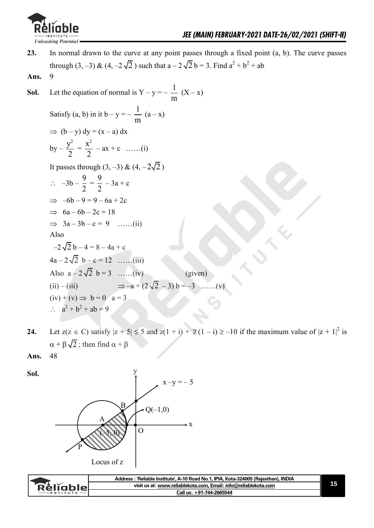

- **23.** In normal drawn to the curve at any point passes through a fixed point (a, b). The curve passes through (3, -3) & (4, -2 $\sqrt{2}$ ) such that a - 2 $\sqrt{2}$  b = 3. Find a<sup>2</sup> + b<sup>2</sup> + ab
- **Ans.** 9

**Sol.** Let the equation of normal is  $Y - y = \frac{1}{x}$ m  $(X - x)$ 

Satisfy (a, b) in it  $b - y = -1$ m  $(a - x)$  $\Rightarrow$  (b – y) dy = (x – a) dx

by 
$$
-\frac{y^2}{2} = \frac{x^2}{2} - ax + c
$$
 .....(i)

It passes through  $(3, -3)$  &  $(4, -2\sqrt{2})$ 

$$
\therefore -3b - \frac{9}{2} = \frac{9}{2} - 3a + c
$$
  
\n
$$
\Rightarrow -6b - 9 = 9 - 6a + 2c
$$
  
\n
$$
\Rightarrow 6a - 6b - 2c = 18
$$
  
\n
$$
\Rightarrow 3a - 3b - c = 9 \quad ...... (ii)
$$
  
\nAlso  
\n
$$
-2\sqrt{2}b - 4 = 8 - 4a + c
$$
  
\n
$$
4a - 2\sqrt{2}b - c = 12 \quad ...... (iii)
$$
  
\nAlso  $a - 2\sqrt{2}b = 3 \quad ...... (iv)$  (given)  
\n(ii) - (iii)  $\Rightarrow -a + (2\sqrt{2} - 3) b = -3 \quad ...... (v)$   
\n(iv) + (v)  $\Rightarrow b = 0$  a = 3  
\n $\therefore a^2 + b^2 + ab = 9$ 

**24.** Let  $z(z \in C)$  satisfy  $|z + 5| \le 5$  and  $z(1 + i) + \overline{z}(1 - i) \ge -10$  if the maximum value of  $|z + 1|^2$  is  $\alpha + \beta \sqrt{2}$ ; then find  $\alpha + \beta$ 

**Ans.** 48



|                 | - 'Reliable Institute', A-10 Road No.1, IPIA, Kota-324005 (Rajasthan), INDIA<br>Address |  |
|-----------------|-----------------------------------------------------------------------------------------|--|
| <b>Relighio</b> | visit us at: www.reliablekota.com. Email: info@reliablekota.com                         |  |
| $-$ INSTITUTE   | Call us: +91-744-2665544                                                                |  |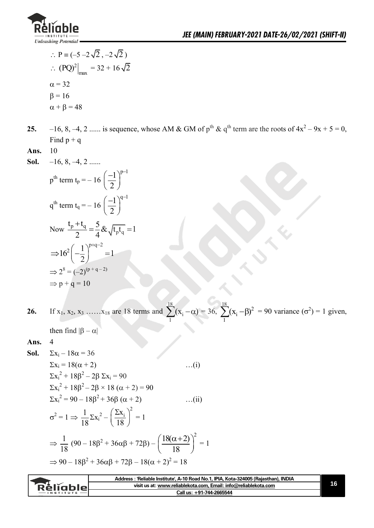

- $\therefore P = (-5 2\sqrt{2}, -2\sqrt{2})$  $\therefore$  (PQ)<sup>2</sup>  $(PQ)^2\big|_{\text{max}} = 32 + 16\sqrt{2}$  $\alpha = 32$  $\beta = 16$  $\alpha + \beta = 48$
- **25.**  $-16, 8, -4, 2 \dots$  is sequence, whose AM & GM of  $p^{\text{th}}$  &  $q^{\text{th}}$  term are the roots of  $4x^2 9x + 5 = 0$ , Find  $p + q$
- **Ans.** 10
- **Sol.** –16, 8, –4, 2 ......

$$
p^{th} \text{ term } t_{p} = -16 \left( \frac{-1}{2} \right)^{p-1}
$$
\n
$$
q^{th} \text{ term } t_{q} = -16 \left( \frac{-1}{2} \right)^{q-1}
$$
\n
$$
\text{Now } \frac{t_{p} + t_{q}}{2} = \frac{5}{4} \& \sqrt{t_{p} t_{q}} = 1
$$
\n
$$
\Rightarrow 16^{2} \left( -\frac{1}{2} \right)^{p+q-2} = 1
$$
\n
$$
\Rightarrow 2^{8} = (-2)^{(p+q-2)}
$$
\n
$$
\Rightarrow p+q = 10
$$

**26.** If  $x_1, x_2, x_3, \ldots, x_{18}$  are 18 terms and 18 i  $\sum_{1}^{10} (x_i - \alpha) = 36,$  $\frac{18}{2}$ (x  $\frac{18}{2}$ )<sup>2</sup> i  $\sum_{1}^{6} (x_i - \beta)^2 = 90$  variance  $(\sigma^2) = 1$  given,

then find  $|\beta - \alpha|$ 

**Ans.** 4

**Sol.** 
$$
\Sigma x_i - 18\alpha = 36
$$
  
\n $\Sigma x_i = 18(\alpha + 2)$  ...(i)  
\n $\Sigma x_i^2 + 18\beta^2 - 2\beta \Sigma x_i = 90$   
\n $\Sigma x_i^2 + 18\beta^2 - 2\beta \times 18 (\alpha + 2) = 90$   
\n $\Sigma x_i^2 = 90 - 18\beta^2 + 36\beta (\alpha + 2)$  ...(ii)  
\n $\sigma^2 = 1 \Rightarrow \frac{1}{18} \Sigma x_i^2 - (\frac{\Sigma x_i}{18})^2 = 1$   
\n $\Rightarrow \frac{1}{18} (90 - 18\beta^2 + 36\alpha\beta + 72\beta) - (\frac{18(\alpha + 2)}{18})^2 = 1$   
\n $\Rightarrow 90 - 18\beta^2 + 36\alpha\beta + 72\beta - 18(\alpha + 2)^2 = 18$ 

| visit us at: www.reliablekota.com, Email: info@reliablekota.com<br>RèligbleL<br>Call us: +91-744-2665544 | Address : 'Reliable Institute', A-10 Road No.1, IPIA, Kota-324005 (Rajasthan), INDIA |  |
|----------------------------------------------------------------------------------------------------------|--------------------------------------------------------------------------------------|--|
|                                                                                                          |                                                                                      |  |
|                                                                                                          |                                                                                      |  |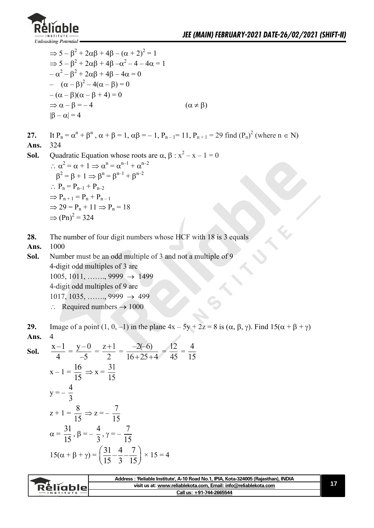

$$
\Rightarrow 5 - \beta^2 + 2\alpha\beta + 4\beta - (\alpha + 2)^2 = 1
$$
  
\n
$$
\Rightarrow 5 - \beta^2 + 2\alpha\beta + 4\beta - \alpha^2 - 4 - 4\alpha = 1
$$
  
\n
$$
-\alpha^2 - \beta^2 + 2\alpha\beta + 4\beta - 4\alpha = 0
$$
  
\n
$$
-(\alpha - \beta)^2 - 4(\alpha - \beta) = 0
$$
  
\n
$$
-(\alpha - \beta)(\alpha - \beta + 4) = 0
$$
  
\n
$$
\Rightarrow \alpha - \beta = -4 \qquad (\alpha \neq \beta)
$$

27. It 
$$
P_n = \alpha^n + \beta^n
$$
,  $\alpha + \beta = 1$ ,  $\alpha\beta = -1$ ,  $P_{n-1} = 11$ ,  $P_{n+1} = 29$  find  $(P_n)^2$  (where  $n \in N$ )

- **Ans.** 324
- **Sol.** Quadratic Equation whose roots are  $\alpha$ ,  $\beta$  :  $x^2 x 1 = 0$  $\therefore \alpha^2 = \alpha + 1 \Rightarrow \alpha^n = \alpha^{n-1} + \alpha^{n-2}$  $\beta^2 = \beta + 1 \Rightarrow \beta^n = \beta^{n-1} + \beta^{n-2}$  $\therefore P_n = P_{n-1} + P_{n-2}$  $\Rightarrow$  P<sub>n+1</sub> = P<sub>n</sub> + P<sub>n-1</sub>  $\Rightarrow$  29 = P<sub>n</sub> + 11  $\Rightarrow$  P<sub>n</sub> = 18  $\Rightarrow$  (Pn)<sup>2</sup> = 324
- 28. The number of four digit numbers whose HCF with 18 is 3 equals
- **Ans.** 1000
- **Sol.** Number must be an odd multiple of 3 and not a multiple of 9 4-digit odd multiples of 3 are  $1005, 1011, \ldots$ , 9999  $\rightarrow 1499$  4-digit odd multiples of 9 are  $1017, 1035, \ldots$ , 9999  $\rightarrow$  499  $\therefore$  Required numbers  $\rightarrow 1000$
- **29.** Image of a point  $(1, 0, -1)$  in the plane  $4x 5y + 2z = 8$  is  $(\alpha, \beta, \gamma)$ . Find  $15(\alpha + \beta + \gamma)$ **Ans.** 4

**Sol.** 
$$
\frac{x-1}{4} = \frac{y-0}{-5} = \frac{z+1}{2} = \frac{-2(-6)}{16+25+4} = \frac{12}{45} = \frac{4}{15}
$$

$$
x-1 = \frac{16}{15} \Rightarrow x = \frac{31}{15}
$$

$$
y = -\frac{4}{3}
$$

$$
z+1 = \frac{8}{15} \Rightarrow z = -\frac{7}{15}
$$

$$
\alpha = \frac{31}{15}, \beta = -\frac{4}{3}, \gamma = -\frac{7}{15}
$$

$$
15(\alpha + \beta + \gamma) = \left(\frac{31}{15} - \frac{4}{3} - \frac{7}{15}\right) \times 15 = 4
$$

|                 | Address: 'Reliable Institute', A-10 Road No.1, IPIA, Kota-324005 (Rajasthan), INDIA |  |
|-----------------|-------------------------------------------------------------------------------------|--|
| <b>Réliable</b> | visit us at: www.reliablekota.com, Email: info@reliablekota.com                     |  |
| $-$ INSTITUTE   | Call us: +91-744-2665544                                                            |  |
|                 |                                                                                     |  |